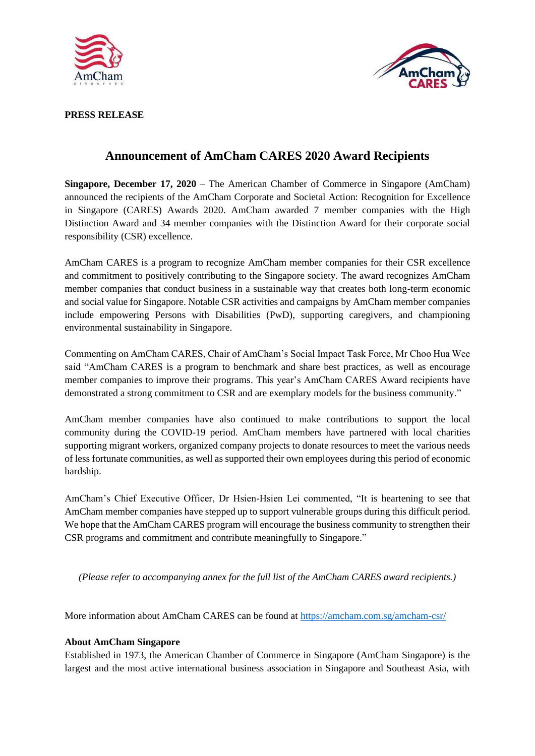



### **PRESS RELEASE**

# **Announcement of AmCham CARES 2020 Award Recipients**

**Singapore, December 17, 2020** – The American Chamber of Commerce in Singapore (AmCham) announced the recipients of the AmCham Corporate and Societal Action: Recognition for Excellence in Singapore (CARES) Awards 2020. AmCham awarded 7 member companies with the High Distinction Award and 34 member companies with the Distinction Award for their corporate social responsibility (CSR) excellence.

AmCham CARES is a program to recognize AmCham member companies for their CSR excellence and commitment to positively contributing to the Singapore society. The award recognizes AmCham member companies that conduct business in a sustainable way that creates both long-term economic and social value for Singapore. Notable CSR activities and campaigns by AmCham member companies include empowering Persons with Disabilities (PwD), supporting caregivers, and championing environmental sustainability in Singapore.

Commenting on AmCham CARES, Chair of AmCham's Social Impact Task Force, Mr Choo Hua Wee said "AmCham CARES is a program to benchmark and share best practices, as well as encourage member companies to improve their programs. This year's AmCham CARES Award recipients have demonstrated a strong commitment to CSR and are exemplary models for the business community."

AmCham member companies have also continued to make contributions to support the local community during the COVID-19 period. AmCham members have partnered with local charities supporting migrant workers, organized company projects to donate resources to meet the various needs of less fortunate communities, as well as supported their own employees during this period of economic hardship.

AmCham's Chief Executive Officer, Dr Hsien-Hsien Lei commented, "It is heartening to see that AmCham member companies have stepped up to support vulnerable groups during this difficult period. We hope that the AmCham CARES program will encourage the business community to strengthen their CSR programs and commitment and contribute meaningfully to Singapore."

*(Please refer to accompanying annex for the full list of the AmCham CARES award recipients.)*

More information about AmCham CARES can be found at<https://amcham.com.sg/amcham-csr/>

## **About AmCham Singapore**

Established in 1973, the American Chamber of Commerce in Singapore (AmCham Singapore) is the largest and the most active international business association in Singapore and Southeast Asia, with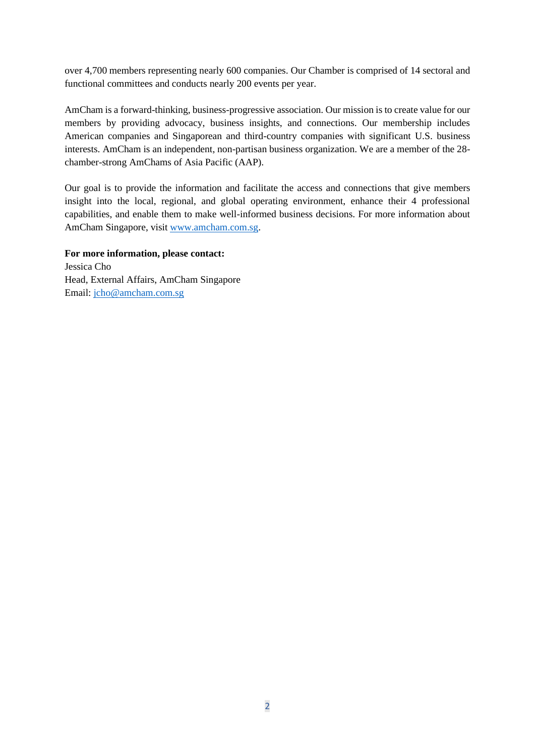over 4,700 members representing nearly 600 companies. Our Chamber is comprised of 14 sectoral and functional committees and conducts nearly 200 events per year.

AmCham is a forward-thinking, business-progressive association. Our mission is to create value for our members by providing advocacy, business insights, and connections. Our membership includes American companies and Singaporean and third-country companies with significant U.S. business interests. AmCham is an independent, non-partisan business organization. We are a member of the 28 chamber-strong AmChams of Asia Pacific (AAP).

Our goal is to provide the information and facilitate the access and connections that give members insight into the local, regional, and global operating environment, enhance their 4 professional capabilities, and enable them to make well-informed business decisions. For more information about AmCham Singapore, visit [www.amcham.com.sg.](http://www.amcham.com.sg/)

**For more information, please contact:**  Jessica Cho Head, External Affairs, AmCham Singapore Email: [jcho@amcham.com.sg](mailto:jcho@amcham.com.sg)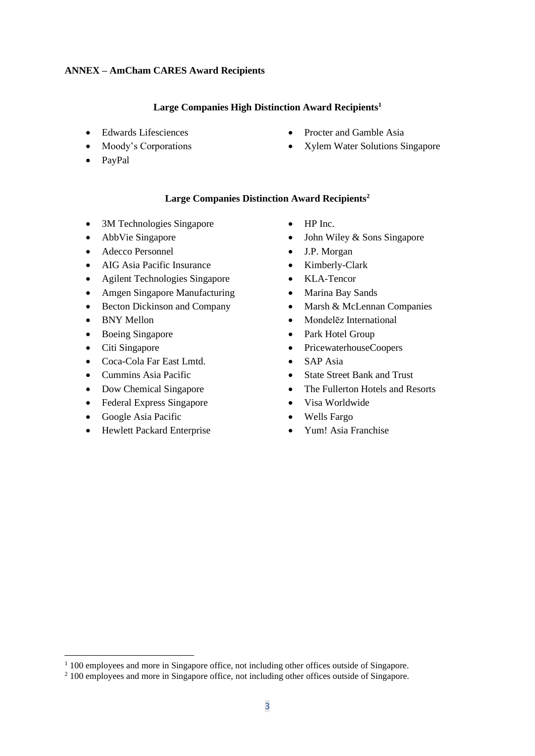#### **ANNEX – AmCham CARES Award Recipients**

#### **Large Companies High Distinction Award Recipients<sup>1</sup>**

- Edwards Lifesciences
- Moody's Corporations
- PayPal
- Procter and Gamble Asia
- Xylem Water Solutions Singapore

#### **Large Companies Distinction Award Recipients<sup>2</sup>**

- 3M Technologies Singapore
- AbbVie Singapore
- Adecco Personnel
- AIG Asia Pacific Insurance
- Agilent Technologies Singapore
- Amgen Singapore Manufacturing
- Becton Dickinson and Company
- BNY Mellon
- Boeing Singapore
- Citi Singapore
- Coca-Cola Far East Lmtd.
- Cummins Asia Pacific
- Dow Chemical Singapore
- Federal Express Singapore
- Google Asia Pacific
- Hewlett Packard Enterprise
- HP Inc.
- John Wiley & Sons Singapore
- J.P. Morgan
- Kimberly-Clark
- KLA-Tencor
- Marina Bay Sands
- Marsh & McLennan Companies
- Mondelēz International
- Park Hotel Group
- PricewaterhouseCoopers
- SAP Asia
- State Street Bank and Trust
- The Fullerton Hotels and Resorts
- Visa Worldwide
- Wells Fargo
- Yum! Asia Franchise

 $1\,100$  employees and more in Singapore office, not including other offices outside of Singapore.

<sup>&</sup>lt;sup>2</sup> 100 employees and more in Singapore office, not including other offices outside of Singapore.